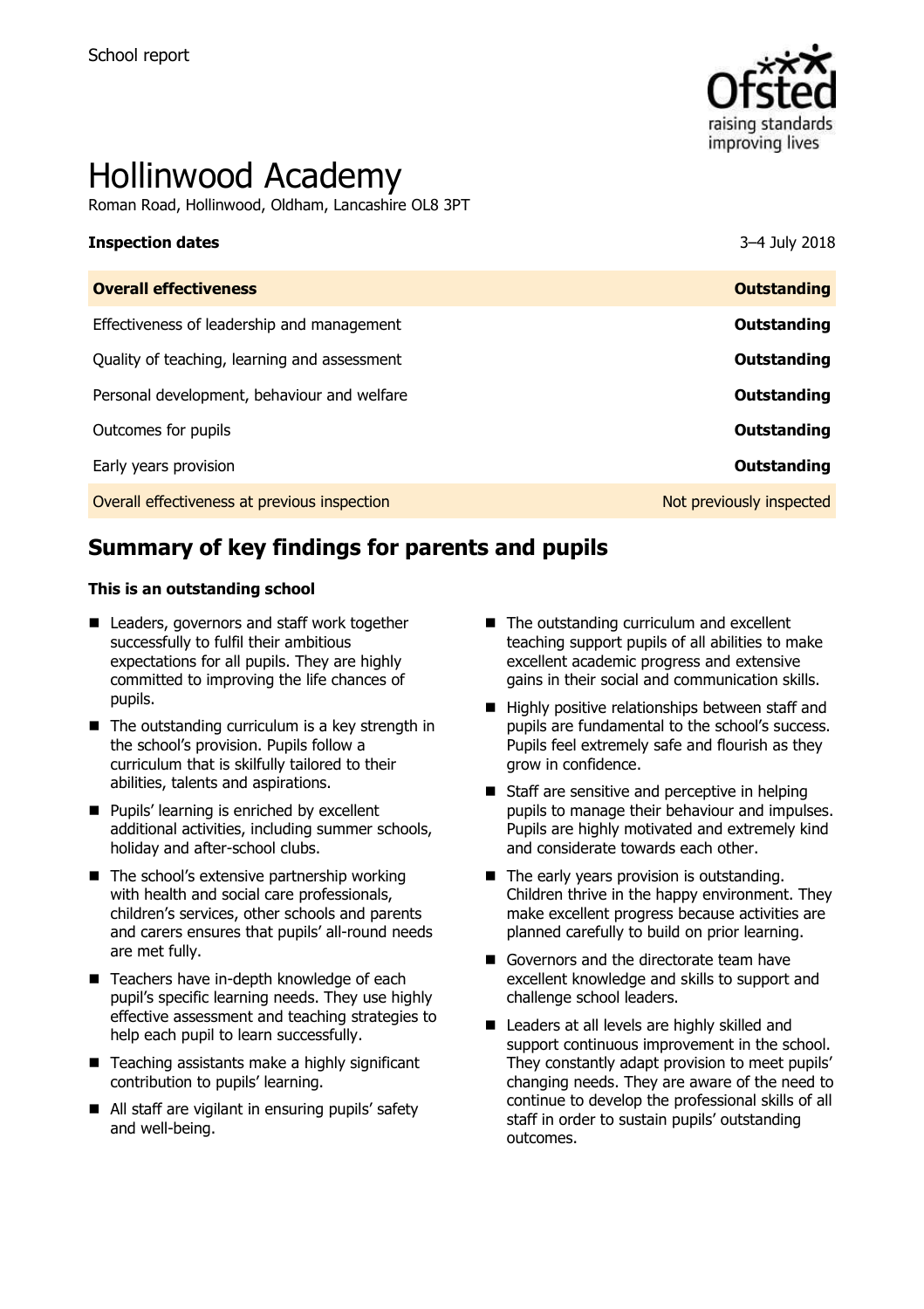

# Hollinwood Academy

Roman Road, Hollinwood, Oldham, Lancashire OL8 3PT

# **Inspection dates** 3–4 July 2018 **Overall effectiveness Outstanding** Effectiveness of leadership and management **Outstanding** Quality of teaching, learning and assessment **Outstanding** Personal development, behaviour and welfare **COUTS AND RESONAL SERVING SERVING SERVING** Outcomes for pupils **Outstanding** Early years provision **Outstanding**

Overall effectiveness at previous inspection Not previously inspected

# **Summary of key findings for parents and pupils**

#### **This is an outstanding school**

- Leaders, governors and staff work together successfully to fulfil their ambitious expectations for all pupils. They are highly committed to improving the life chances of pupils.
- $\blacksquare$  The outstanding curriculum is a key strength in the school's provision. Pupils follow a curriculum that is skilfully tailored to their abilities, talents and aspirations.
- **Pupils' learning is enriched by excellent** additional activities, including summer schools, holiday and after-school clubs.
- $\blacksquare$  The school's extensive partnership working with health and social care professionals, children's services, other schools and parents and carers ensures that pupils' all-round needs are met fully.
- Teachers have in-depth knowledge of each pupil's specific learning needs. They use highly effective assessment and teaching strategies to help each pupil to learn successfully.
- $\blacksquare$  Teaching assistants make a highly significant contribution to pupils' learning.
- All staff are vigilant in ensuring pupils' safety and well-being.
- The outstanding curriculum and excellent teaching support pupils of all abilities to make excellent academic progress and extensive gains in their social and communication skills.
- $\blacksquare$  Highly positive relationships between staff and pupils are fundamental to the school's success. Pupils feel extremely safe and flourish as they grow in confidence.
- Staff are sensitive and perceptive in helping pupils to manage their behaviour and impulses. Pupils are highly motivated and extremely kind and considerate towards each other.
- $\blacksquare$  The early years provision is outstanding. Children thrive in the happy environment. They make excellent progress because activities are planned carefully to build on prior learning.
- Governors and the directorate team have excellent knowledge and skills to support and challenge school leaders.
- Leaders at all levels are highly skilled and support continuous improvement in the school. They constantly adapt provision to meet pupils' changing needs. They are aware of the need to continue to develop the professional skills of all staff in order to sustain pupils' outstanding outcomes.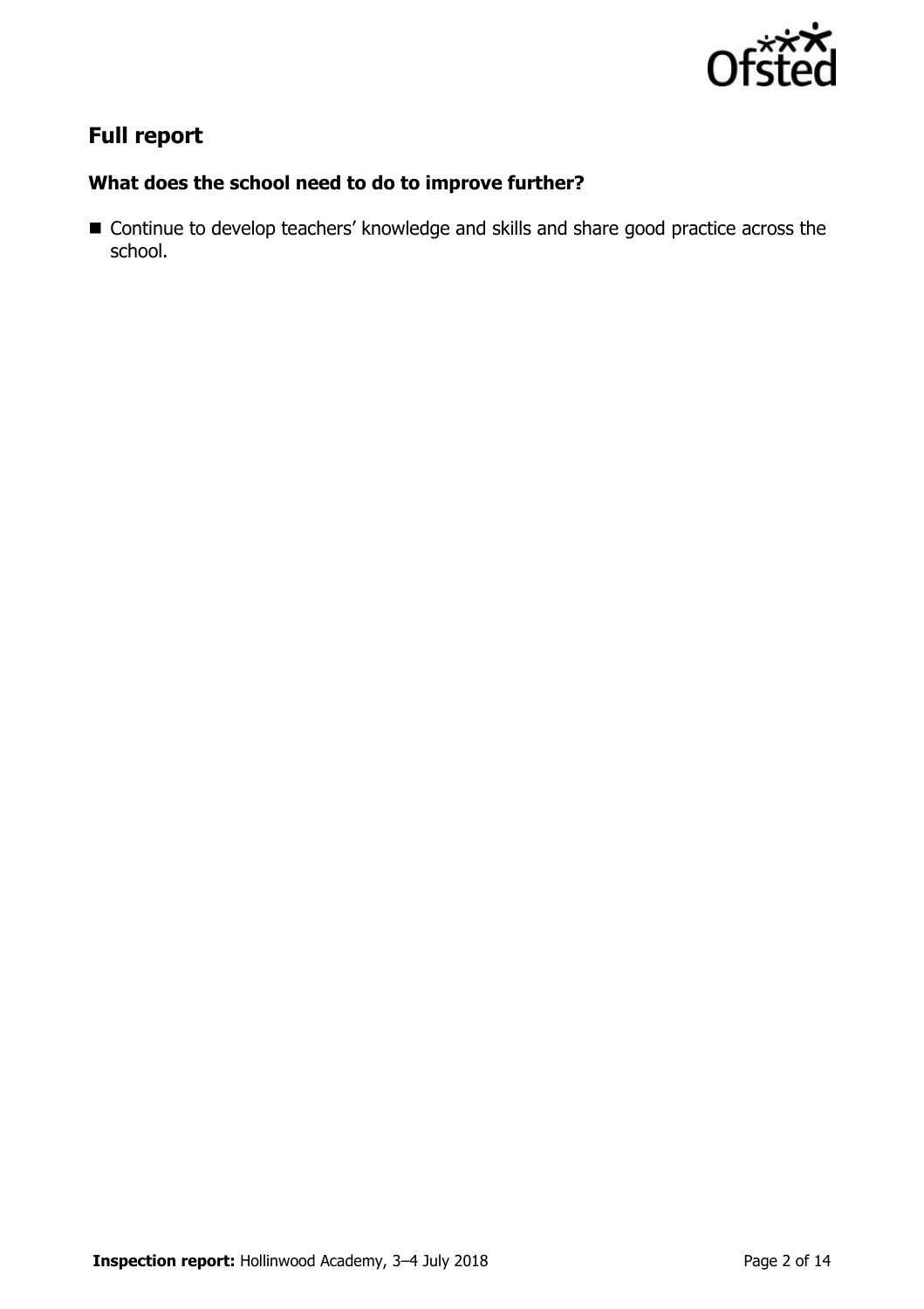

# **Full report**

### **What does the school need to do to improve further?**

■ Continue to develop teachers' knowledge and skills and share good practice across the school.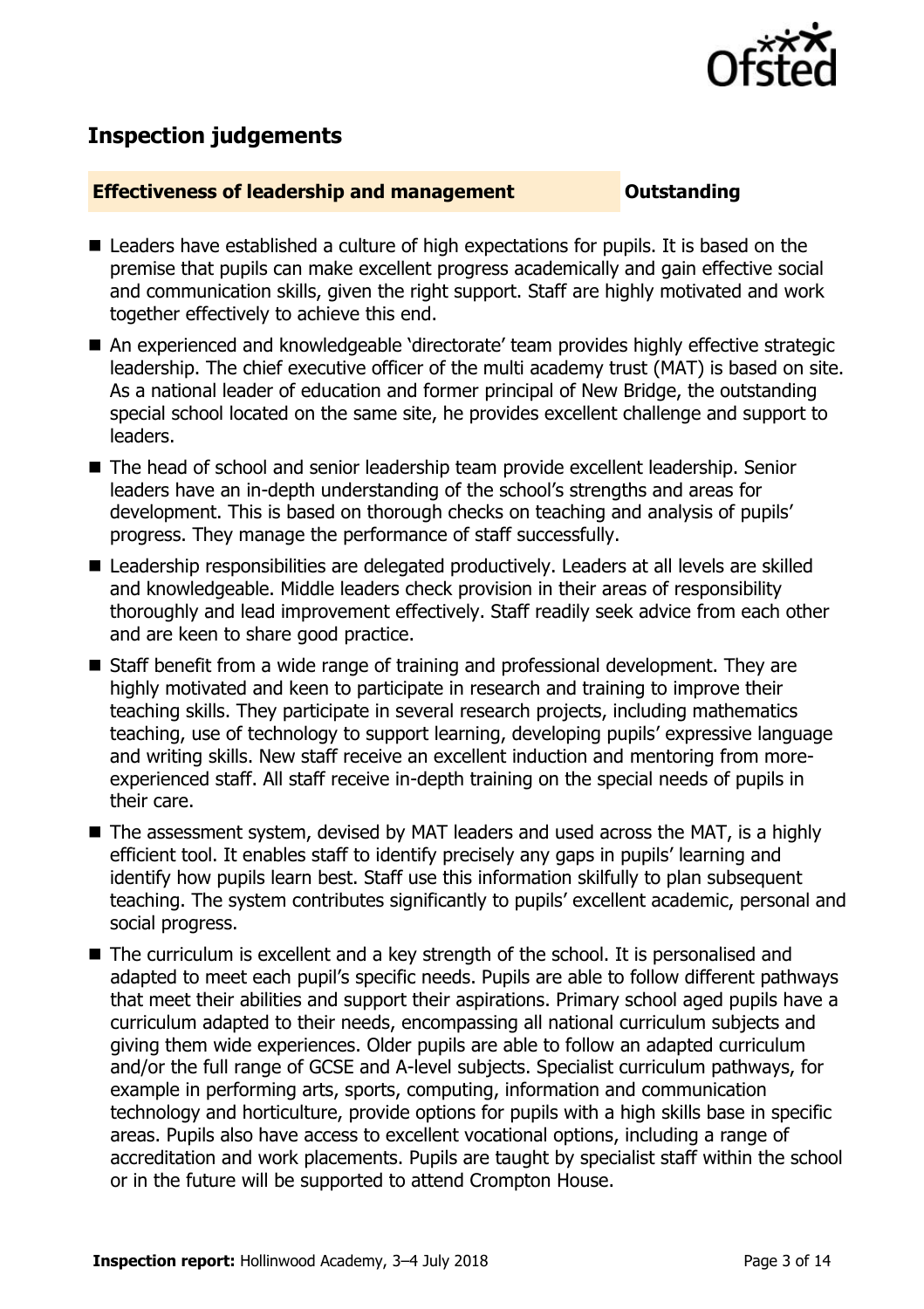

## **Inspection judgements**

#### **Effectiveness of leadership and management Cultum Outstanding**

- Leaders have established a culture of high expectations for pupils. It is based on the premise that pupils can make excellent progress academically and gain effective social and communication skills, given the right support. Staff are highly motivated and work together effectively to achieve this end.
- An experienced and knowledgeable 'directorate' team provides highly effective strategic leadership. The chief executive officer of the multi academy trust (MAT) is based on site. As a national leader of education and former principal of New Bridge, the outstanding special school located on the same site, he provides excellent challenge and support to leaders.
- The head of school and senior leadership team provide excellent leadership. Senior leaders have an in-depth understanding of the school's strengths and areas for development. This is based on thorough checks on teaching and analysis of pupils' progress. They manage the performance of staff successfully.
- Leadership responsibilities are delegated productively. Leaders at all levels are skilled and knowledgeable. Middle leaders check provision in their areas of responsibility thoroughly and lead improvement effectively. Staff readily seek advice from each other and are keen to share good practice.
- Staff benefit from a wide range of training and professional development. They are highly motivated and keen to participate in research and training to improve their teaching skills. They participate in several research projects, including mathematics teaching, use of technology to support learning, developing pupils' expressive language and writing skills. New staff receive an excellent induction and mentoring from moreexperienced staff. All staff receive in-depth training on the special needs of pupils in their care.
- The assessment system, devised by MAT leaders and used across the MAT, is a highly efficient tool. It enables staff to identify precisely any gaps in pupils' learning and identify how pupils learn best. Staff use this information skilfully to plan subsequent teaching. The system contributes significantly to pupils' excellent academic, personal and social progress.
- The curriculum is excellent and a key strength of the school. It is personalised and adapted to meet each pupil's specific needs. Pupils are able to follow different pathways that meet their abilities and support their aspirations. Primary school aged pupils have a curriculum adapted to their needs, encompassing all national curriculum subjects and giving them wide experiences. Older pupils are able to follow an adapted curriculum and/or the full range of GCSE and A-level subjects. Specialist curriculum pathways, for example in performing arts, sports, computing, information and communication technology and horticulture, provide options for pupils with a high skills base in specific areas. Pupils also have access to excellent vocational options, including a range of accreditation and work placements. Pupils are taught by specialist staff within the school or in the future will be supported to attend Crompton House.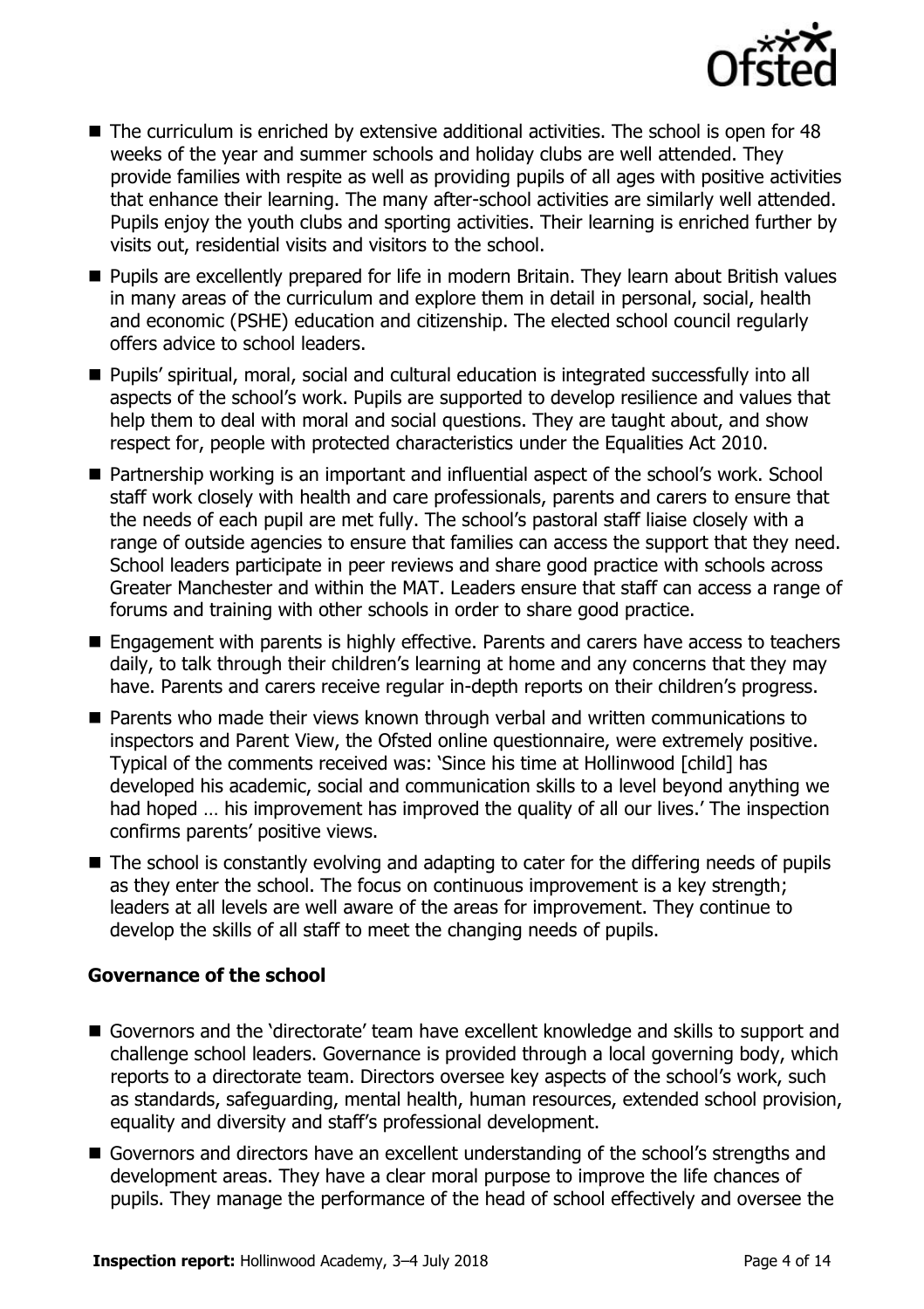

- $\blacksquare$  The curriculum is enriched by extensive additional activities. The school is open for 48 weeks of the year and summer schools and holiday clubs are well attended. They provide families with respite as well as providing pupils of all ages with positive activities that enhance their learning. The many after-school activities are similarly well attended. Pupils enjoy the youth clubs and sporting activities. Their learning is enriched further by visits out, residential visits and visitors to the school.
- **Pupils are excellently prepared for life in modern Britain. They learn about British values** in many areas of the curriculum and explore them in detail in personal, social, health and economic (PSHE) education and citizenship. The elected school council regularly offers advice to school leaders.
- Pupils' spiritual, moral, social and cultural education is integrated successfully into all aspects of the school's work. Pupils are supported to develop resilience and values that help them to deal with moral and social questions. They are taught about, and show respect for, people with protected characteristics under the Equalities Act 2010.
- Partnership working is an important and influential aspect of the school's work. School staff work closely with health and care professionals, parents and carers to ensure that the needs of each pupil are met fully. The school's pastoral staff liaise closely with a range of outside agencies to ensure that families can access the support that they need. School leaders participate in peer reviews and share good practice with schools across Greater Manchester and within the MAT. Leaders ensure that staff can access a range of forums and training with other schools in order to share good practice.
- Engagement with parents is highly effective. Parents and carers have access to teachers daily, to talk through their children's learning at home and any concerns that they may have. Parents and carers receive regular in-depth reports on their children's progress.
- **Parents who made their views known through verbal and written communications to** inspectors and Parent View, the Ofsted online questionnaire, were extremely positive. Typical of the comments received was: 'Since his time at Hollinwood [child] has developed his academic, social and communication skills to a level beyond anything we had hoped … his improvement has improved the quality of all our lives.' The inspection confirms parents' positive views.
- The school is constantly evolving and adapting to cater for the differing needs of pupils as they enter the school. The focus on continuous improvement is a key strength; leaders at all levels are well aware of the areas for improvement. They continue to develop the skills of all staff to meet the changing needs of pupils.

### **Governance of the school**

- Governors and the 'directorate' team have excellent knowledge and skills to support and challenge school leaders. Governance is provided through a local governing body, which reports to a directorate team. Directors oversee key aspects of the school's work, such as standards, safeguarding, mental health, human resources, extended school provision, equality and diversity and staff's professional development.
- Governors and directors have an excellent understanding of the school's strengths and development areas. They have a clear moral purpose to improve the life chances of pupils. They manage the performance of the head of school effectively and oversee the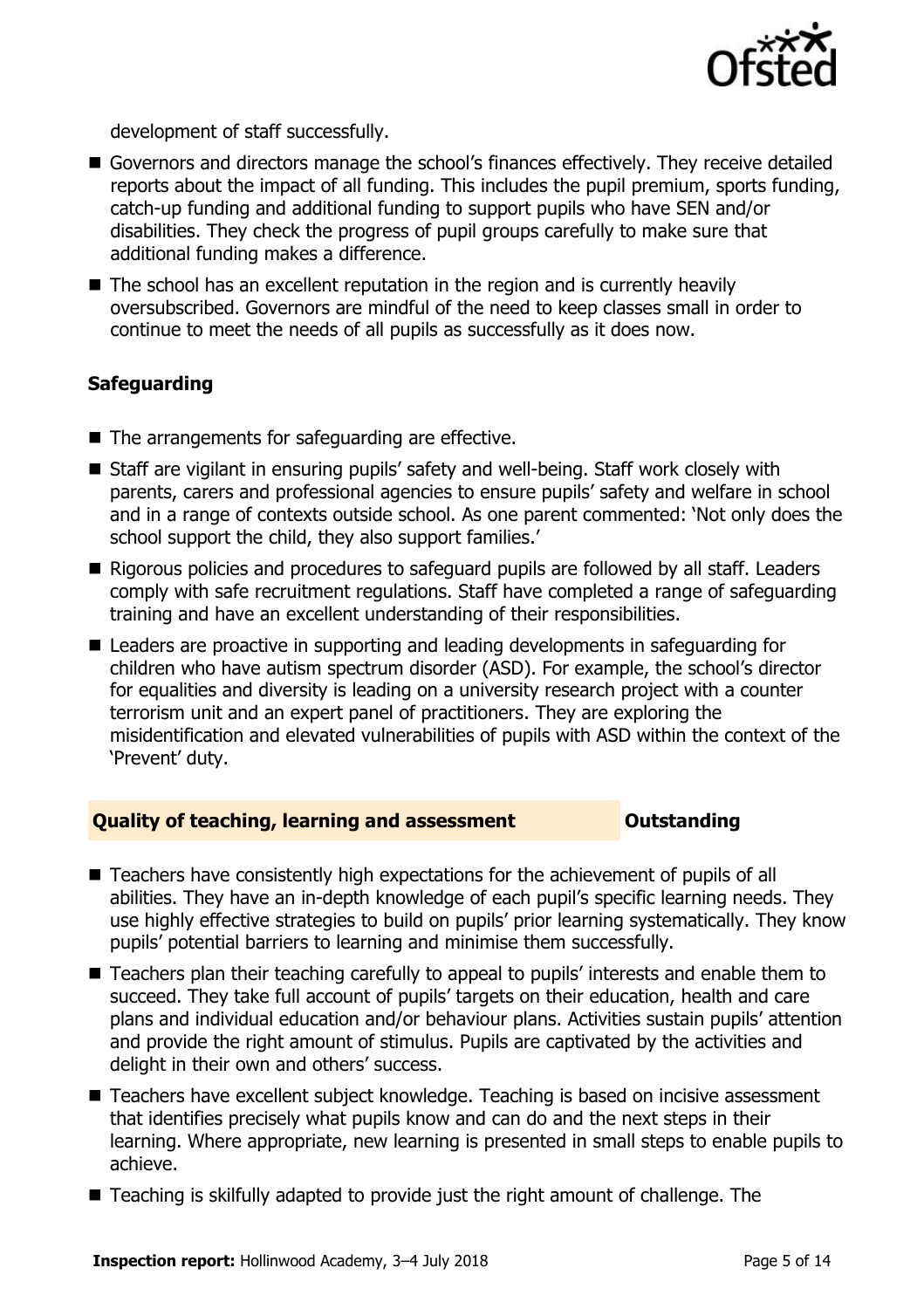

development of staff successfully.

- Governors and directors manage the school's finances effectively. They receive detailed reports about the impact of all funding. This includes the pupil premium, sports funding, catch-up funding and additional funding to support pupils who have SEN and/or disabilities. They check the progress of pupil groups carefully to make sure that additional funding makes a difference.
- The school has an excellent reputation in the region and is currently heavily oversubscribed. Governors are mindful of the need to keep classes small in order to continue to meet the needs of all pupils as successfully as it does now.

#### **Safeguarding**

- $\blacksquare$  The arrangements for safeguarding are effective.
- Staff are vigilant in ensuring pupils' safety and well-being. Staff work closely with parents, carers and professional agencies to ensure pupils' safety and welfare in school and in a range of contexts outside school. As one parent commented: 'Not only does the school support the child, they also support families.'
- Rigorous policies and procedures to safeguard pupils are followed by all staff. Leaders comply with safe recruitment regulations. Staff have completed a range of safeguarding training and have an excellent understanding of their responsibilities.
- Leaders are proactive in supporting and leading developments in safeguarding for children who have autism spectrum disorder (ASD). For example, the school's director for equalities and diversity is leading on a university research project with a counter terrorism unit and an expert panel of practitioners. They are exploring the misidentification and elevated vulnerabilities of pupils with ASD within the context of the 'Prevent' duty.

#### **Quality of teaching, learning and assessment <b>COUTS** Outstanding

- Teachers have consistently high expectations for the achievement of pupils of all abilities. They have an in-depth knowledge of each pupil's specific learning needs. They use highly effective strategies to build on pupils' prior learning systematically. They know pupils' potential barriers to learning and minimise them successfully.
- Teachers plan their teaching carefully to appeal to pupils' interests and enable them to succeed. They take full account of pupils' targets on their education, health and care plans and individual education and/or behaviour plans. Activities sustain pupils' attention and provide the right amount of stimulus. Pupils are captivated by the activities and delight in their own and others' success.
- Teachers have excellent subject knowledge. Teaching is based on incisive assessment that identifies precisely what pupils know and can do and the next steps in their learning. Where appropriate, new learning is presented in small steps to enable pupils to achieve.
- Teaching is skilfully adapted to provide just the right amount of challenge. The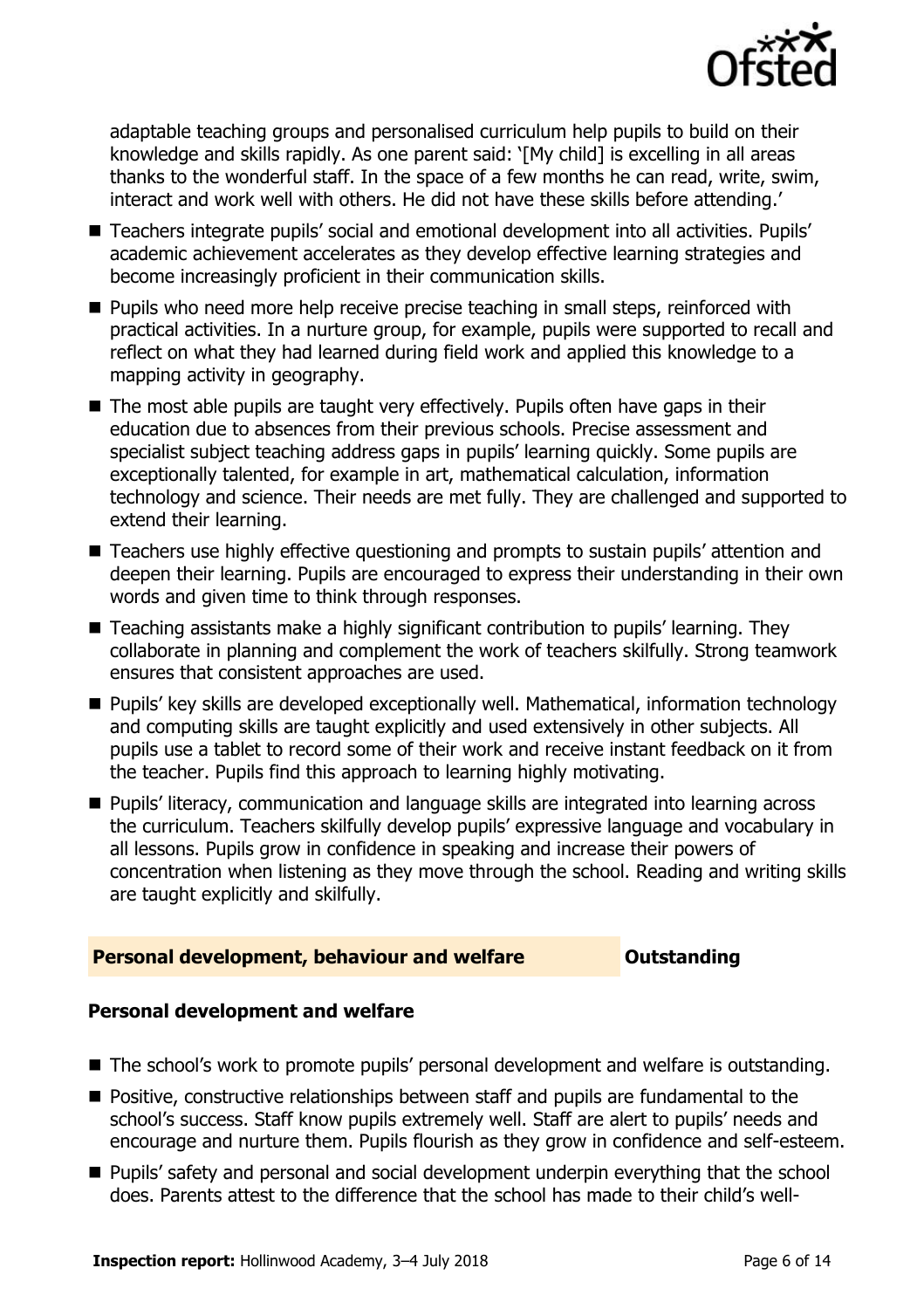

adaptable teaching groups and personalised curriculum help pupils to build on their knowledge and skills rapidly. As one parent said: '[My child] is excelling in all areas thanks to the wonderful staff. In the space of a few months he can read, write, swim, interact and work well with others. He did not have these skills before attending.'

- Teachers integrate pupils' social and emotional development into all activities. Pupils' academic achievement accelerates as they develop effective learning strategies and become increasingly proficient in their communication skills.
- **Pupils who need more help receive precise teaching in small steps, reinforced with** practical activities. In a nurture group, for example, pupils were supported to recall and reflect on what they had learned during field work and applied this knowledge to a mapping activity in geography.
- The most able pupils are taught very effectively. Pupils often have gaps in their education due to absences from their previous schools. Precise assessment and specialist subject teaching address gaps in pupils' learning quickly. Some pupils are exceptionally talented, for example in art, mathematical calculation, information technology and science. Their needs are met fully. They are challenged and supported to extend their learning.
- Teachers use highly effective questioning and prompts to sustain pupils' attention and deepen their learning. Pupils are encouraged to express their understanding in their own words and given time to think through responses.
- Teaching assistants make a highly significant contribution to pupils' learning. They collaborate in planning and complement the work of teachers skilfully. Strong teamwork ensures that consistent approaches are used.
- **Pupils' key skills are developed exceptionally well. Mathematical, information technology** and computing skills are taught explicitly and used extensively in other subjects. All pupils use a tablet to record some of their work and receive instant feedback on it from the teacher. Pupils find this approach to learning highly motivating.
- **Pupils' literacy, communication and language skills are integrated into learning across** the curriculum. Teachers skilfully develop pupils' expressive language and vocabulary in all lessons. Pupils grow in confidence in speaking and increase their powers of concentration when listening as they move through the school. Reading and writing skills are taught explicitly and skilfully.

### **Personal development, behaviour and welfare <b>COU** Dutstanding

### **Personal development and welfare**

- The school's work to promote pupils' personal development and welfare is outstanding.
- **Positive, constructive relationships between staff and pupils are fundamental to the** school's success. Staff know pupils extremely well. Staff are alert to pupils' needs and encourage and nurture them. Pupils flourish as they grow in confidence and self-esteem.
- Pupils' safety and personal and social development underpin everything that the school does. Parents attest to the difference that the school has made to their child's well-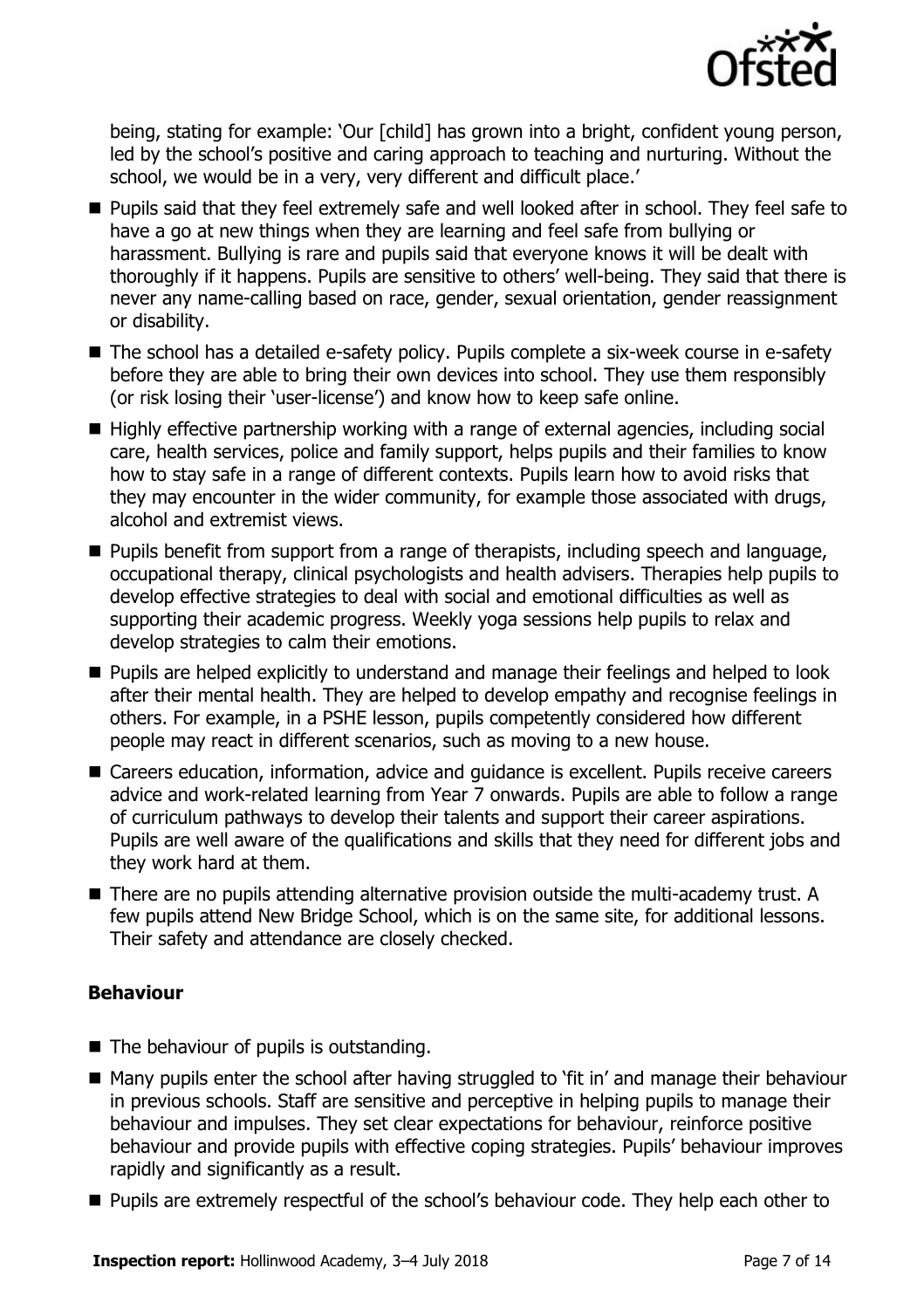

being, stating for example: 'Our [child] has grown into a bright, confident young person, led by the school's positive and caring approach to teaching and nurturing. Without the school, we would be in a very, very different and difficult place.'

- **Pupils said that they feel extremely safe and well looked after in school. They feel safe to** have a go at new things when they are learning and feel safe from bullying or harassment. Bullying is rare and pupils said that everyone knows it will be dealt with thoroughly if it happens. Pupils are sensitive to others' well-being. They said that there is never any name-calling based on race, gender, sexual orientation, gender reassignment or disability.
- The school has a detailed e-safety policy. Pupils complete a six-week course in e-safety before they are able to bring their own devices into school. They use them responsibly (or risk losing their 'user-license') and know how to keep safe online.
- Highly effective partnership working with a range of external agencies, including social care, health services, police and family support, helps pupils and their families to know how to stay safe in a range of different contexts. Pupils learn how to avoid risks that they may encounter in the wider community, for example those associated with drugs, alcohol and extremist views.
- **Pupils benefit from support from a range of therapists, including speech and language,** occupational therapy, clinical psychologists and health advisers. Therapies help pupils to develop effective strategies to deal with social and emotional difficulties as well as supporting their academic progress. Weekly yoga sessions help pupils to relax and develop strategies to calm their emotions.
- **Pupils are helped explicitly to understand and manage their feelings and helped to look** after their mental health. They are helped to develop empathy and recognise feelings in others. For example, in a PSHE lesson, pupils competently considered how different people may react in different scenarios, such as moving to a new house.
- Careers education, information, advice and guidance is excellent. Pupils receive careers advice and work-related learning from Year 7 onwards. Pupils are able to follow a range of curriculum pathways to develop their talents and support their career aspirations. Pupils are well aware of the qualifications and skills that they need for different jobs and they work hard at them.
- There are no pupils attending alternative provision outside the multi-academy trust. A few pupils attend New Bridge School, which is on the same site, for additional lessons. Their safety and attendance are closely checked.

### **Behaviour**

- The behaviour of pupils is outstanding.
- Many pupils enter the school after having struggled to 'fit in' and manage their behaviour in previous schools. Staff are sensitive and perceptive in helping pupils to manage their behaviour and impulses. They set clear expectations for behaviour, reinforce positive behaviour and provide pupils with effective coping strategies. Pupils' behaviour improves rapidly and significantly as a result.
- **Pupils are extremely respectful of the school's behaviour code. They help each other to**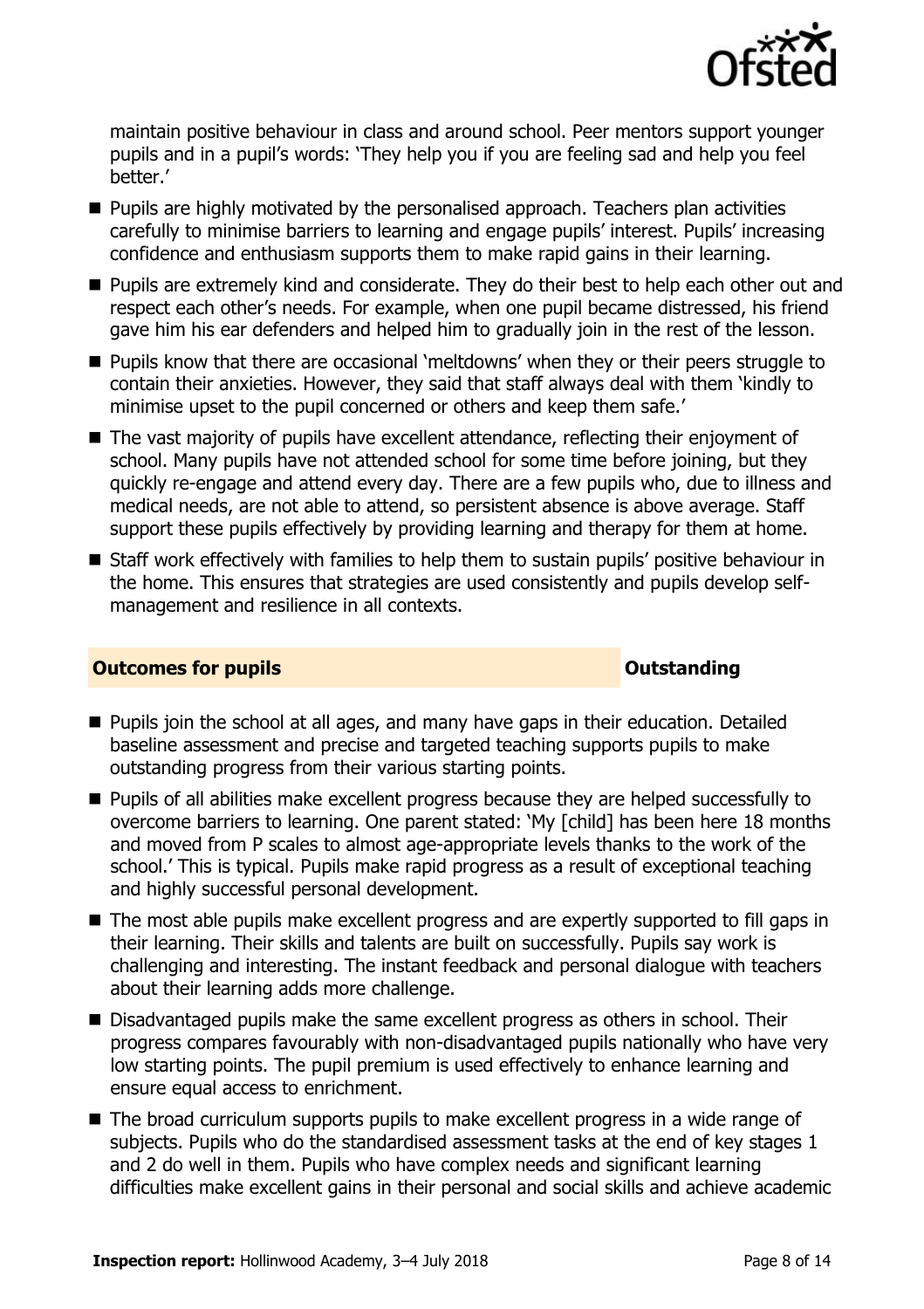

maintain positive behaviour in class and around school. Peer mentors support younger pupils and in a pupil's words: 'They help you if you are feeling sad and help you feel better.'

- Pupils are highly motivated by the personalised approach. Teachers plan activities carefully to minimise barriers to learning and engage pupils' interest. Pupils' increasing confidence and enthusiasm supports them to make rapid gains in their learning.
- **Pupils are extremely kind and considerate. They do their best to help each other out and** respect each other's needs. For example, when one pupil became distressed, his friend gave him his ear defenders and helped him to gradually join in the rest of the lesson.
- **Pupils know that there are occasional 'meltdowns' when they or their peers struggle to** contain their anxieties. However, they said that staff always deal with them 'kindly to minimise upset to the pupil concerned or others and keep them safe.'
- The vast majority of pupils have excellent attendance, reflecting their enjoyment of school. Many pupils have not attended school for some time before joining, but they quickly re-engage and attend every day. There are a few pupils who, due to illness and medical needs, are not able to attend, so persistent absence is above average. Staff support these pupils effectively by providing learning and therapy for them at home.
- Staff work effectively with families to help them to sustain pupils' positive behaviour in the home. This ensures that strategies are used consistently and pupils develop selfmanagement and resilience in all contexts.

#### **Outcomes for pupils Outstanding**

- **Pupils join the school at all ages, and many have gaps in their education. Detailed** baseline assessment and precise and targeted teaching supports pupils to make outstanding progress from their various starting points.
- **Pupils of all abilities make excellent progress because they are helped successfully to** overcome barriers to learning. One parent stated: 'My [child] has been here 18 months and moved from P scales to almost age-appropriate levels thanks to the work of the school.' This is typical. Pupils make rapid progress as a result of exceptional teaching and highly successful personal development.
- The most able pupils make excellent progress and are expertly supported to fill gaps in their learning. Their skills and talents are built on successfully. Pupils say work is challenging and interesting. The instant feedback and personal dialogue with teachers about their learning adds more challenge.
- Disadvantaged pupils make the same excellent progress as others in school. Their progress compares favourably with non-disadvantaged pupils nationally who have very low starting points. The pupil premium is used effectively to enhance learning and ensure equal access to enrichment.
- The broad curriculum supports pupils to make excellent progress in a wide range of subjects. Pupils who do the standardised assessment tasks at the end of key stages 1 and 2 do well in them. Pupils who have complex needs and significant learning difficulties make excellent gains in their personal and social skills and achieve academic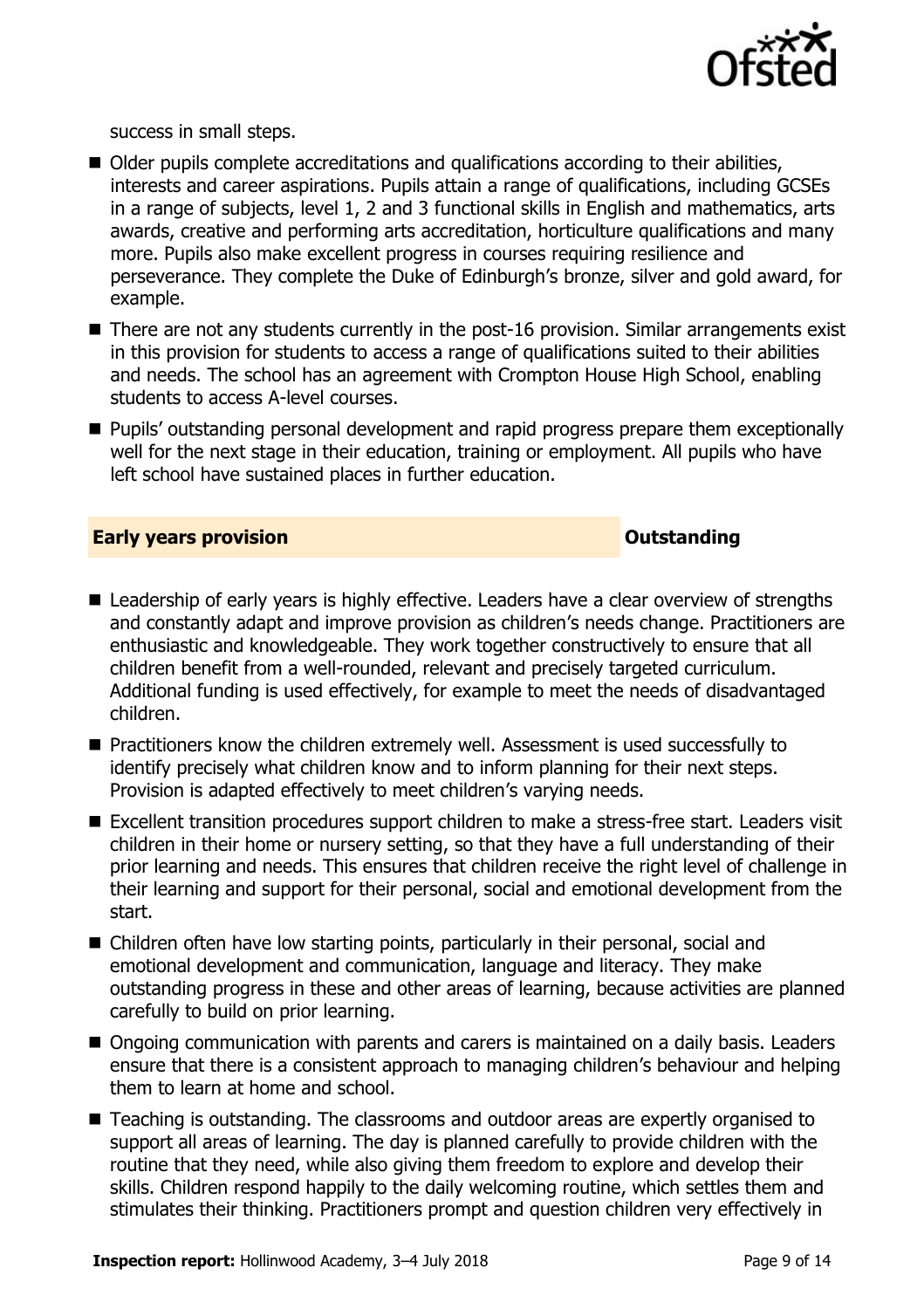

success in small steps.

- Older pupils complete accreditations and qualifications according to their abilities, interests and career aspirations. Pupils attain a range of qualifications, including GCSEs in a range of subjects, level 1, 2 and 3 functional skills in English and mathematics, arts awards, creative and performing arts accreditation, horticulture qualifications and many more. Pupils also make excellent progress in courses requiring resilience and perseverance. They complete the Duke of Edinburgh's bronze, silver and gold award, for example.
- There are not any students currently in the post-16 provision. Similar arrangements exist in this provision for students to access a range of qualifications suited to their abilities and needs. The school has an agreement with Crompton House High School, enabling students to access A-level courses.
- **Pupils' outstanding personal development and rapid progress prepare them exceptionally** well for the next stage in their education, training or employment. All pupils who have left school have sustained places in further education.

#### **Early years provision CONSISTER SECTION ASSESSMENT CONSTANT CONSTANT CONSTANT CONSTANT CONSTANT CONSTANT CONSTANT CONSTANT CONSTANT CONSTANT CONSTANT CONSTANT CONSTANT CONSTANT CONSTANT CONSTANT CONSTANT CONSTANT CONSTA**

- Leadership of early years is highly effective. Leaders have a clear overview of strengths and constantly adapt and improve provision as children's needs change. Practitioners are enthusiastic and knowledgeable. They work together constructively to ensure that all children benefit from a well-rounded, relevant and precisely targeted curriculum. Additional funding is used effectively, for example to meet the needs of disadvantaged children.
- Practitioners know the children extremely well. Assessment is used successfully to identify precisely what children know and to inform planning for their next steps. Provision is adapted effectively to meet children's varying needs.
- Excellent transition procedures support children to make a stress-free start. Leaders visit children in their home or nursery setting, so that they have a full understanding of their prior learning and needs. This ensures that children receive the right level of challenge in their learning and support for their personal, social and emotional development from the start.
- Children often have low starting points, particularly in their personal, social and emotional development and communication, language and literacy. They make outstanding progress in these and other areas of learning, because activities are planned carefully to build on prior learning.
- Ongoing communication with parents and carers is maintained on a daily basis. Leaders ensure that there is a consistent approach to managing children's behaviour and helping them to learn at home and school.
- Teaching is outstanding. The classrooms and outdoor areas are expertly organised to support all areas of learning. The day is planned carefully to provide children with the routine that they need, while also giving them freedom to explore and develop their skills. Children respond happily to the daily welcoming routine, which settles them and stimulates their thinking. Practitioners prompt and question children very effectively in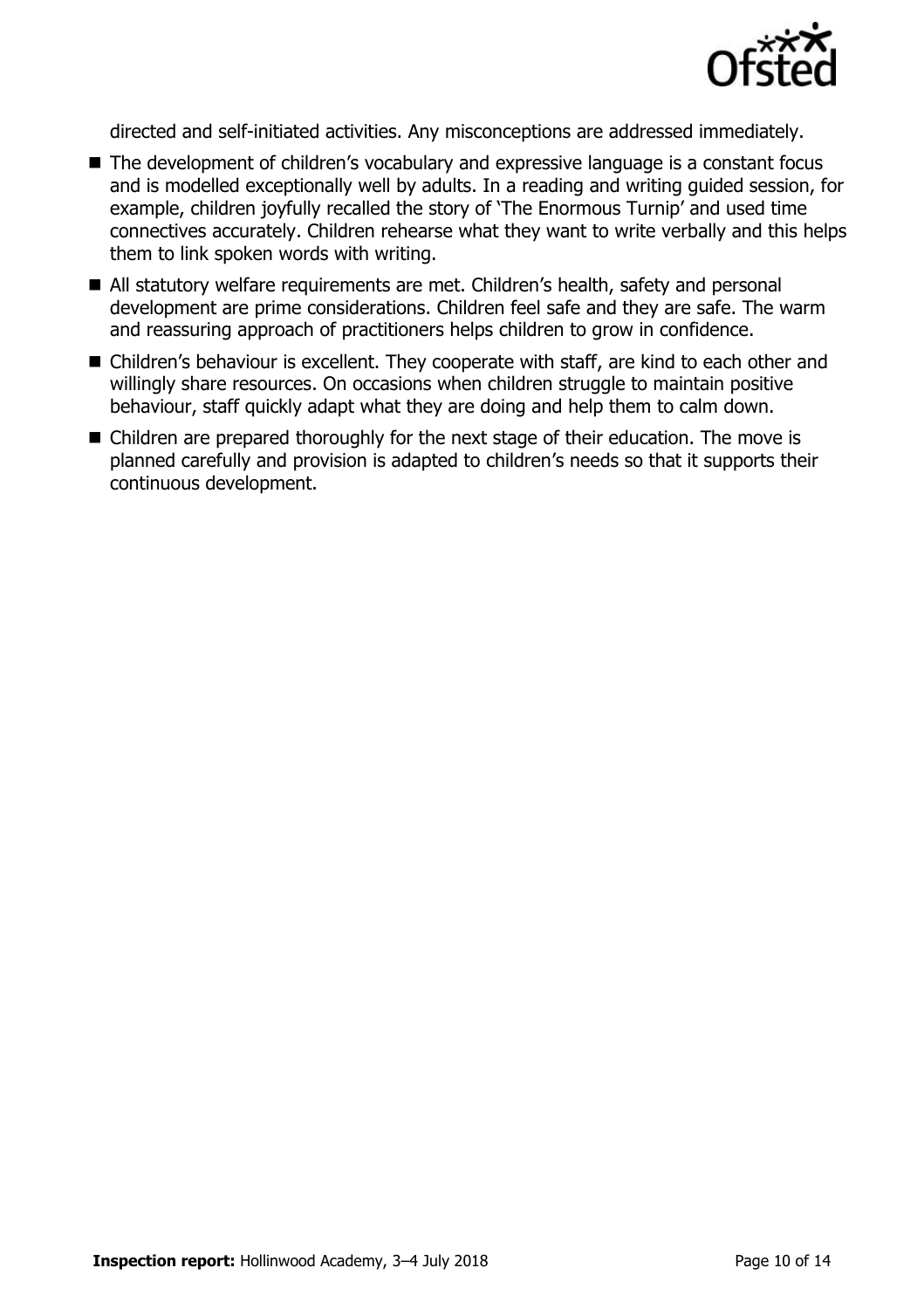

directed and self-initiated activities. Any misconceptions are addressed immediately.

- The development of children's vocabulary and expressive language is a constant focus and is modelled exceptionally well by adults. In a reading and writing guided session, for example, children joyfully recalled the story of 'The Enormous Turnip' and used time connectives accurately. Children rehearse what they want to write verbally and this helps them to link spoken words with writing.
- All statutory welfare requirements are met. Children's health, safety and personal development are prime considerations. Children feel safe and they are safe. The warm and reassuring approach of practitioners helps children to grow in confidence.
- Children's behaviour is excellent. They cooperate with staff, are kind to each other and willingly share resources. On occasions when children struggle to maintain positive behaviour, staff quickly adapt what they are doing and help them to calm down.
- Children are prepared thoroughly for the next stage of their education. The move is planned carefully and provision is adapted to children's needs so that it supports their continuous development.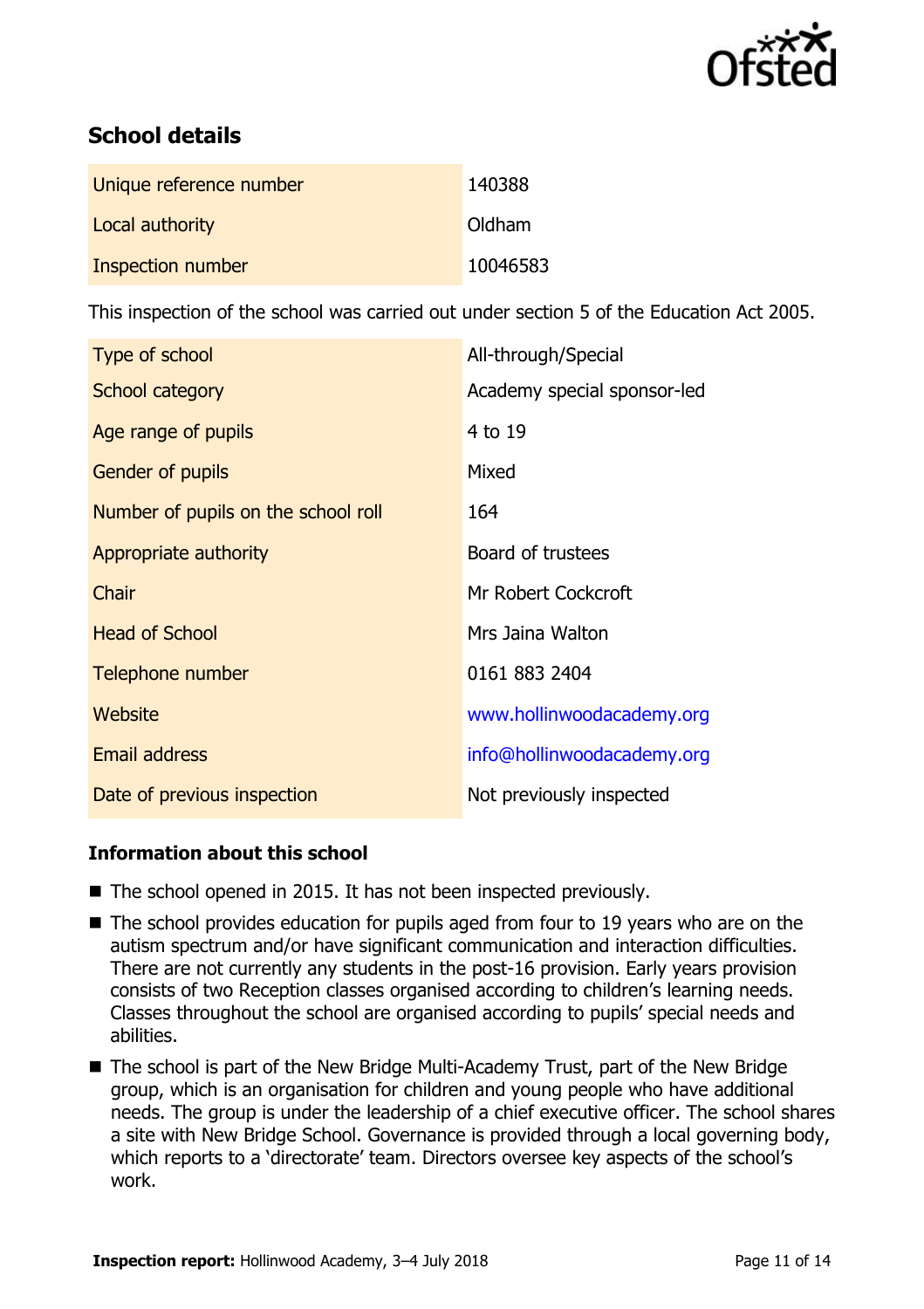

# **School details**

| Unique reference number | 140388   |
|-------------------------|----------|
| Local authority         | Oldham   |
| Inspection number       | 10046583 |

This inspection of the school was carried out under section 5 of the Education Act 2005.

| Type of school                      | All-through/Special         |
|-------------------------------------|-----------------------------|
| School category                     | Academy special sponsor-led |
| Age range of pupils                 | 4 to 19                     |
| Gender of pupils                    | Mixed                       |
| Number of pupils on the school roll | 164                         |
| Appropriate authority               | Board of trustees           |
| Chair                               | Mr Robert Cockcroft         |
| <b>Head of School</b>               | Mrs Jaina Walton            |
| Telephone number                    | 0161 883 2404               |
| <b>Website</b>                      | www.hollinwoodacademy.org   |
| <b>Email address</b>                | info@hollinwoodacademy.org  |
| Date of previous inspection         | Not previously inspected    |

### **Information about this school**

- The school opened in 2015. It has not been inspected previously.
- The school provides education for pupils aged from four to 19 years who are on the autism spectrum and/or have significant communication and interaction difficulties. There are not currently any students in the post-16 provision. Early years provision consists of two Reception classes organised according to children's learning needs. Classes throughout the school are organised according to pupils' special needs and abilities.
- The school is part of the New Bridge Multi-Academy Trust, part of the New Bridge group, which is an organisation for children and young people who have additional needs. The group is under the leadership of a chief executive officer. The school shares a site with New Bridge School. Governance is provided through a local governing body, which reports to a 'directorate' team. Directors oversee key aspects of the school's work.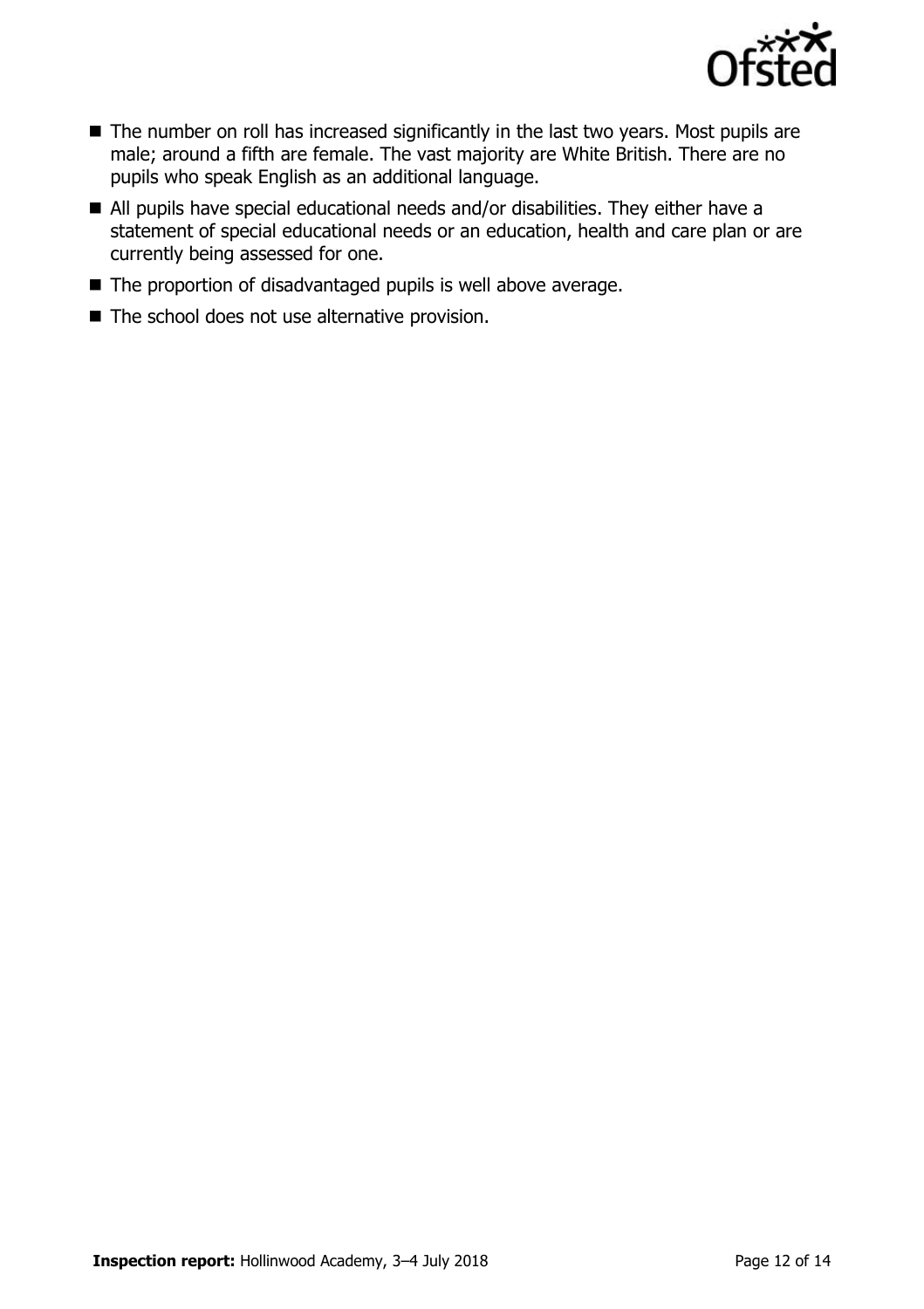

- The number on roll has increased significantly in the last two years. Most pupils are male; around a fifth are female. The vast majority are White British. There are no pupils who speak English as an additional language.
- All pupils have special educational needs and/or disabilities. They either have a statement of special educational needs or an education, health and care plan or are currently being assessed for one.
- The proportion of disadvantaged pupils is well above average.
- The school does not use alternative provision.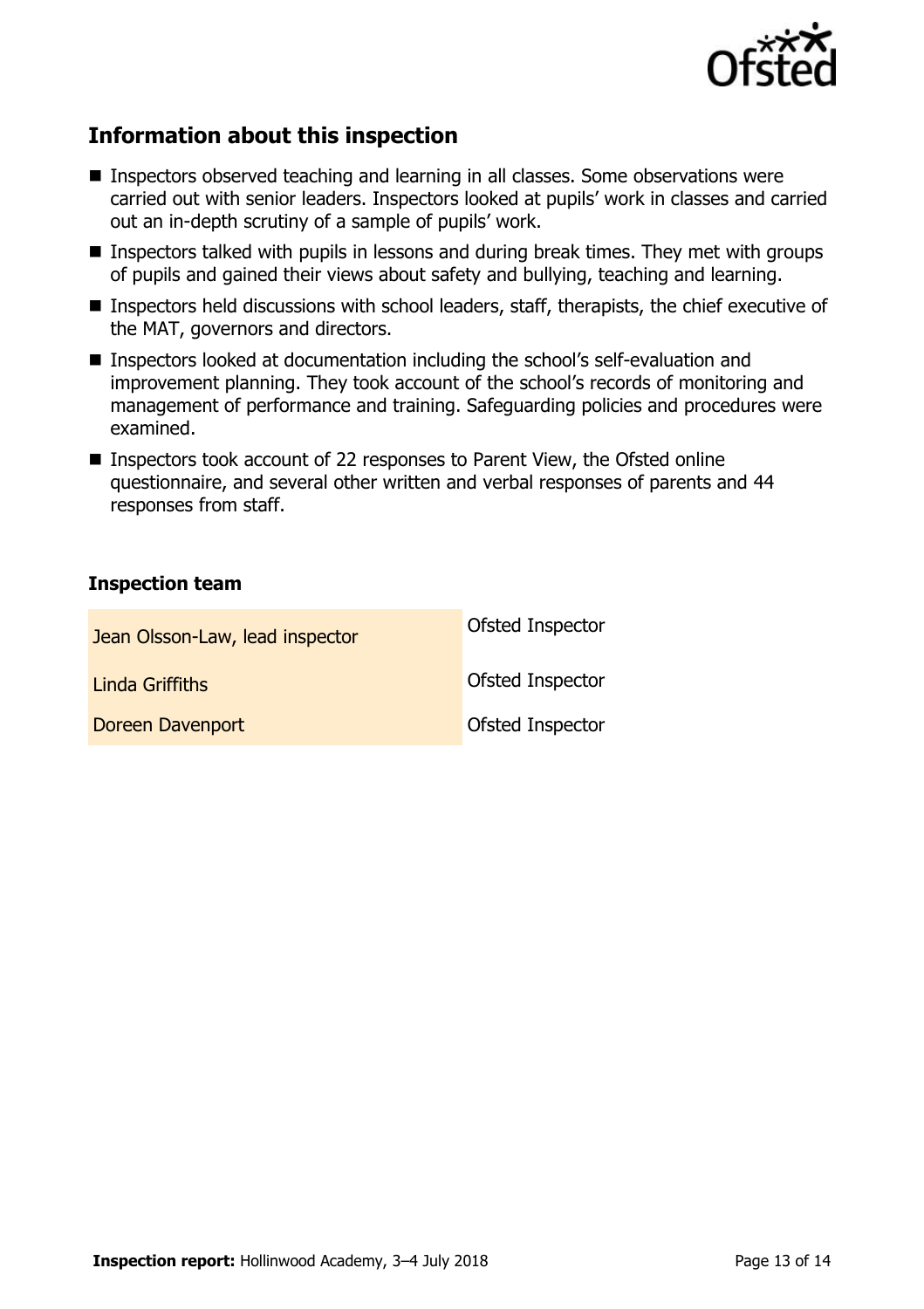

## **Information about this inspection**

- Inspectors observed teaching and learning in all classes. Some observations were carried out with senior leaders. Inspectors looked at pupils' work in classes and carried out an in-depth scrutiny of a sample of pupils' work.
- Inspectors talked with pupils in lessons and during break times. They met with groups of pupils and gained their views about safety and bullying, teaching and learning.
- Inspectors held discussions with school leaders, staff, therapists, the chief executive of the MAT, governors and directors.
- Inspectors looked at documentation including the school's self-evaluation and improvement planning. They took account of the school's records of monitoring and management of performance and training. Safeguarding policies and procedures were examined.
- Inspectors took account of 22 responses to Parent View, the Ofsted online questionnaire, and several other written and verbal responses of parents and 44 responses from staff.

#### **Inspection team**

| Jean Olsson-Law, lead inspector | Ofsted Inspector |
|---------------------------------|------------------|
| Linda Griffiths                 | Ofsted Inspector |
| Doreen Davenport                | Ofsted Inspector |